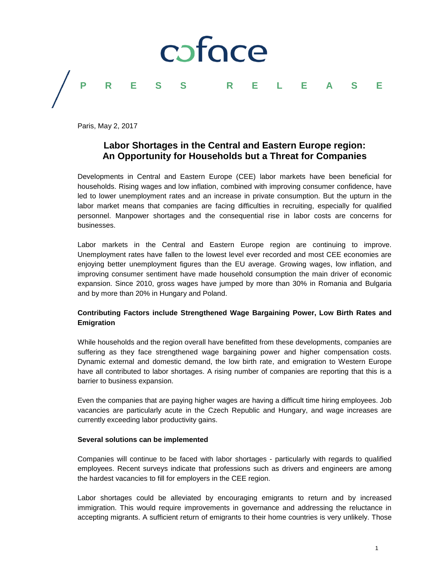

Paris, May 2, 2017

# **Labor Shortages in the Central and Eastern Europe region: An Opportunity for Households but a Threat for Companies**

Developments in Central and Eastern Europe (CEE) labor markets have been beneficial for households. Rising wages and low inflation, combined with improving consumer confidence, have led to lower unemployment rates and an increase in private consumption. But the upturn in the labor market means that companies are facing difficulties in recruiting, especially for qualified personnel. Manpower shortages and the consequential rise in labor costs are concerns for businesses.

Labor markets in the Central and Eastern Europe region are continuing to improve. Unemployment rates have fallen to the lowest level ever recorded and most CEE economies are enjoying better unemployment figures than the EU average. Growing wages, low inflation, and improving consumer sentiment have made household consumption the main driver of economic expansion. Since 2010, gross wages have jumped by more than 30% in Romania and Bulgaria and by more than 20% in Hungary and Poland.

## **Contributing Factors include Strengthened Wage Bargaining Power, Low Birth Rates and Emigration**

While households and the region overall have benefitted from these developments, companies are suffering as they face strengthened wage bargaining power and higher compensation costs. Dynamic external and domestic demand, the low birth rate, and emigration to Western Europe have all contributed to labor shortages. A rising number of companies are reporting that this is a barrier to business expansion.

Even the companies that are paying higher wages are having a difficult time hiring employees. Job vacancies are particularly acute in the Czech Republic and Hungary, and wage increases are currently exceeding labor productivity gains.

## **Several solutions can be implemented**

Companies will continue to be faced with labor shortages - particularly with regards to qualified employees. Recent surveys indicate that professions such as drivers and engineers are among the hardest vacancies to fill for employers in the CEE region.

Labor shortages could be alleviated by encouraging emigrants to return and by increased immigration. This would require improvements in governance and addressing the reluctance in accepting migrants. A sufficient return of emigrants to their home countries is very unlikely. Those